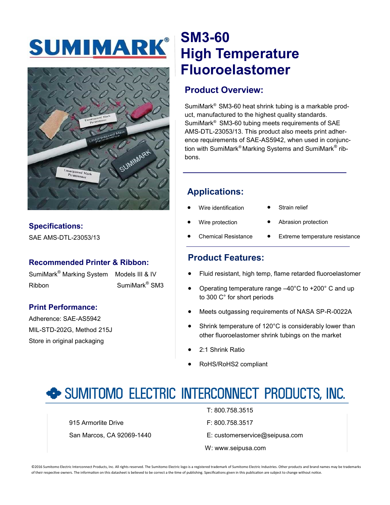# SUMIMARK®



#### **Specifications:**

SAE AMS-DTL-23053/13

#### **Recommended Printer & Ribbon:**

SumiMark® Marking System Models III & IV Ribbon SumiMark® SM3

#### **Print Performance:**

Adherence: SAE-AS5942 MIL-STD-202G, Method 215J Store in original packaging

## **SM3-60 High Temperature Fluoroelastomer**

#### **Product Overview:**

SumiMark® SM3-60 heat shrink tubing is a markable product, manufactured to the highest quality standards. SumiMark® SM3-60 tubing meets requirements of SAE AMS-DTL-23053/13. This product also meets print adherence requirements of SAE-AS5942, when used in conjunction with SumiMark®Marking Systems and SumiMark<sup>®</sup> ribbons.

#### **Applications:**

- Wire identification
- Strain relief
- Wire protection
- Abrasion protection
- Chemical Resistance
- Extreme temperature resistance

#### **Product Features:**

- Fluid resistant, high temp, flame retarded fluoroelastomer
- Operating temperature range –40°C to +200° C and up to 300 C° for short periods
- Meets outgassing requirements of NASA SP-R-0022A
- Shrink temperature of 120°C is considerably lower than other fluoroelastomer shrink tubings on the market
- 2:1 Shrink Ratio
- RoHS/RoHS2 compliant

### SUMITOMO ELECTRIC INTERCONNECT PRODUCTS, INC.

915 Armorlite Drive **F: 800.758.3517** San Marcos, CA 92069-1440 E: customerservice@seipusa.com

T: 800.758.3515

- 
- W: www.seipusa.com

©2016 Sumitomo Electric Interconnect Products, Inc. All rights reserved. The Sumitomo Electric logo is a registered trademark of Sumitomo Electric Industries. Other products and brand names may be trademarks of their respective owners. The information on this datasheet is believed to be correct a the time of publishing. Specifications given in this publication are subject to change without notice.